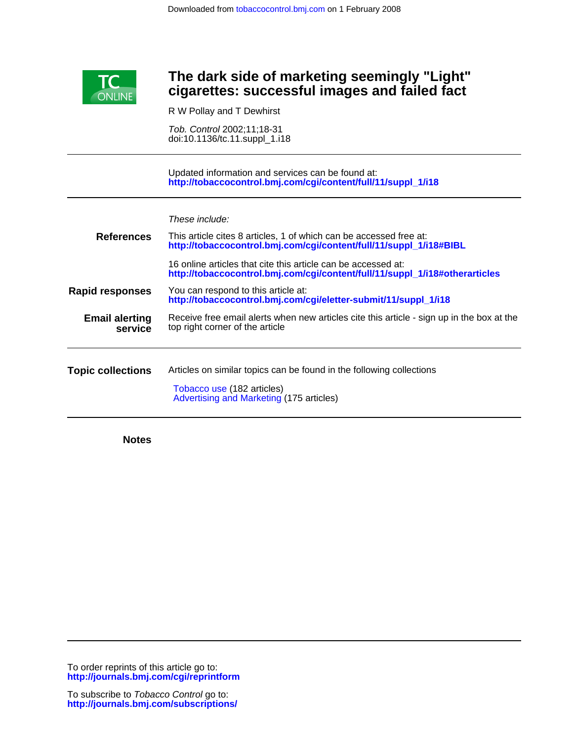

## **cigarettes: successful images and failed fact The dark side of marketing seemingly "Light"**

R W Pollay and T Dewhirst

doi:10.1136/tc.11.suppl\_1.i18 Tob. Control 2002;11;18-31

**[http://tobaccocontrol.bmj.com/cgi/content/full/11/suppl\\_1/i18](http://tobaccocontrol.bmj.com/cgi/content/full/11/suppl_1/i18)** Updated information and services can be found at:

| These include: |  |
|----------------|--|
|                |  |

| <b>References</b>                | This article cites 8 articles, 1 of which can be accessed free at:<br>http://tobaccocontrol.bmj.com/cgi/content/full/11/suppl 1/i18#BIBL     |
|----------------------------------|----------------------------------------------------------------------------------------------------------------------------------------------|
|                                  | 16 online articles that cite this article can be accessed at:<br>http://tobaccocontrol.bmj.com/cgi/content/full/11/suppl 1/i18#otherarticles |
| <b>Rapid responses</b>           | You can respond to this article at:<br>http://tobaccocontrol.bmj.com/cgi/eletter-submit/11/suppl_1/i18                                       |
| <b>Email alerting</b><br>service | Receive free email alerts when new articles cite this article - sign up in the box at the<br>top right corner of the article                 |
|                                  |                                                                                                                                              |
| <b>Topic collections</b>         | Articles on similar topics can be found in the following collections                                                                         |
|                                  | Tobacco use (182 articles)<br>Advertising and Marketing (175 articles)                                                                       |

**Notes**

**<http://journals.bmj.com/cgi/reprintform>** To order reprints of this article go to: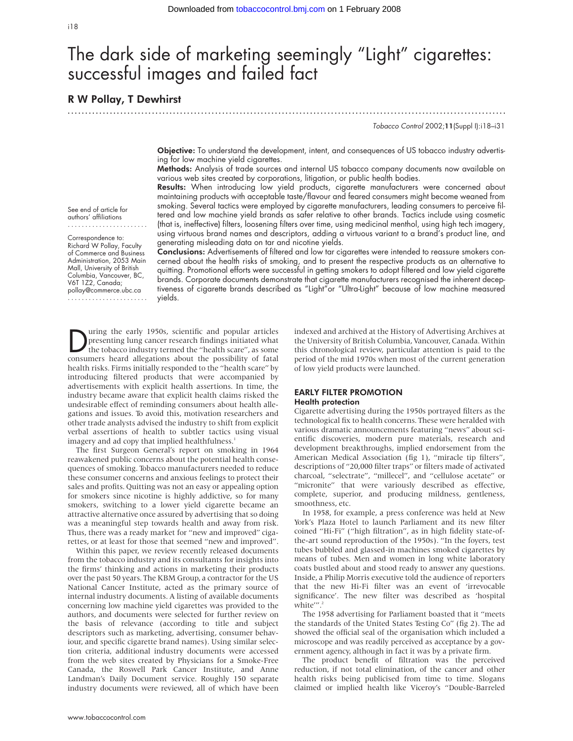#### i18

# The dark side of marketing seemingly "Light" cigarettes: successful images and failed fact

## R W Pollay, T Dewhirst

.............................................................................................................................

Tobacco Control 2002;11(Suppl I):i18–i31

Objective: To understand the development, intent, and consequences of US tobacco industry advertising for low machine yield cigarettes.

Methods: Analysis of trade sources and internal US tobacco company documents now available on various web sites created by corporations, litigation, or public health bodies.

Results: When introducing low yield products, cigarette manufacturers were concerned about maintaining products with acceptable taste/flavour and feared consumers might become weaned from smoking. Several tactics were employed by cigarette manufacturers, leading consumers to perceive filtered and low machine yield brands as safer relative to other brands. Tactics include using cosmetic (that is, ineffective) filters, loosening filters over time, using medicinal menthol, using high tech imagery, using virtuous brand names and descriptors, adding a virtuous variant to a brand's product line, and generating misleading data on tar and nicotine yields.

See end of article for authors' affiliations .......................

Correspondence to: Richard W Pollay, Faculty of Commerce and Business Administration, 2053 Main Mall, University of British Columbia, Vancouver, BC, V6T 1Z2, Canada; pollay@commerce.ubc.ca .......................

Conclusions: Advertisements of filtered and low tar cigarettes were intended to reassure smokers concerned about the health risks of smoking, and to present the respective products as an alternative to quitting. Promotional efforts were successful in getting smokers to adopt filtered and low yield cigarette brands. Corporate documents demonstrate that cigarette manufacturers recognised the inherent deceptiveness of cigarette brands described as "Light"or "Ultra-Light" because of low machine measured yields.

**During the early 1950s, scientific and popular articles**<br>the tobacco industry termed the "health scare", as some<br>consumers, heard allegations about the possibility of fatal presenting lung cancer research findings initiated what consumers heard allegations about the possibility of fatal health risks. Firms initially responded to the "health scare" by introducing filtered products that were accompanied by advertisements with explicit health assertions. In time, the industry became aware that explicit health claims risked the undesirable effect of reminding consumers about health allegations and issues. To avoid this, motivation researchers and other trade analysts advised the industry to shift from explicit verbal assertions of health to subtler tactics using visual imagery and ad copy that implied healthfulness.<sup>1</sup>

The first Surgeon General's report on smoking in 1964 reawakened public concerns about the potential health consequences of smoking. Tobacco manufacturers needed to reduce these consumer concerns and anxious feelings to protect their sales and profits. Quitting was not an easy or appealing option for smokers since nicotine is highly addictive, so for many smokers, switching to a lower yield cigarette became an attractive alternative once assured by advertising that so doing was a meaningful step towards health and away from risk. Thus, there was a ready market for "new and improved" cigarettes, or at least for those that seemed "new and improved".

Within this paper, we review recently released documents from the tobacco industry and its consultants for insights into the firms' thinking and actions in marketing their products over the past 50 years. The KBM Group, a contractor for the US National Cancer Institute, acted as the primary source of internal industry documents. A listing of available documents concerning low machine yield cigarettes was provided to the authors, and documents were selected for further review on the basis of relevance (according to title and subject descriptors such as marketing, advertising, consumer behaviour, and specific cigarette brand names). Using similar selection criteria, additional industry documents were accessed from the web sites created by Physicians for a Smoke-Free Canada, the Roswell Park Cancer Institute, and Anne Landman's Daily Document service. Roughly 150 separate industry documents were reviewed, all of which have been

indexed and archived at the History of Advertising Archives at the University of British Columbia, Vancouver, Canada. Within this chronological review, particular attention is paid to the period of the mid 1970s when most of the current generation of low yield products were launched.

## EARLY FILTER PROMOTION Health protection

smoothness, etc.

Cigarette advertising during the 1950s portrayed filters as the technological fix to health concerns. These were heralded with various dramatic announcements featuring "news" about scientific discoveries, modern pure materials, research and development breakthroughs, implied endorsement from the American Medical Association (fig 1), "miracle tip filters", descriptions of "20,000 filter traps" or filters made of activated charcoal, "selectrate", "millecel", and "cellulose acetate" or "micronite" that were variously described as effective, complete, superior, and producing mildness, gentleness,

In 1958, for example, a press conference was held at New York's Plaza Hotel to launch Parliament and its new filter coined "Hi-Fi" ("high filtration", as in high fidelity state-ofthe-art sound reproduction of the 1950s). "In the foyers, test tubes bubbled and glassed-in machines smoked cigarettes by means of tubes. Men and women in long white laboratory coats bustled about and stood ready to answer any questions. Inside, a Philip Morris executive told the audience of reporters that the new Hi-Fi filter was an event of 'irrevocable significance'. The new filter was described as 'hospital white'".

The 1958 advertising for Parliament boasted that it "meets the standards of the United States Testing Co" (fig 2). The ad showed the official seal of the organisation which included a microscope and was readily perceived as acceptance by a government agency, although in fact it was by a private firm.

The product benefit of filtration was the perceived reduction, if not total elimination, of the cancer and other health risks being publicised from time to time. Slogans claimed or implied health like Viceroy's "Double-Barreled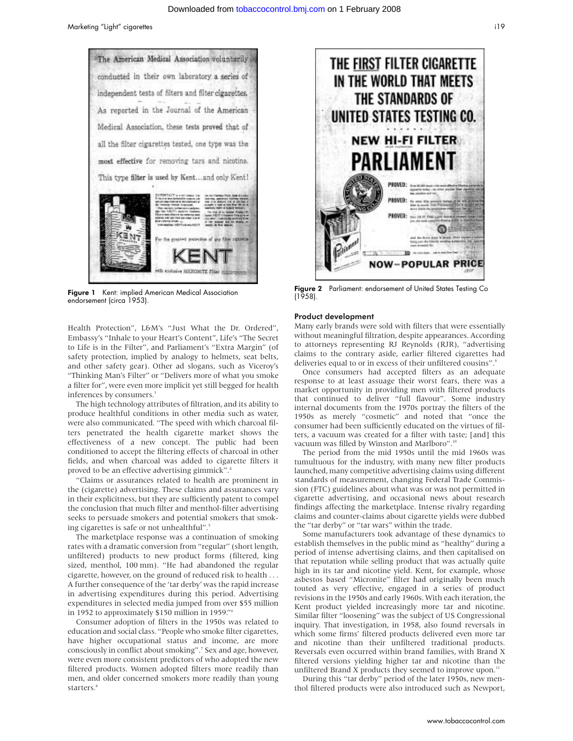The American Medical Association voluntarily conducted in their own laboratory a series of independent tests of filters and filter cigarettes. As reported in the Journal of the American Medical Association, these tests proved that of all the filter cigarettes tested, one type was the most effective for removing tars and nicotine. This type filter is used by Kent ... and only Kent!

Figure 1 Kent: implied American Medical Association endorsement (circa 1953).

Health Protection", L&M's "Just What the Dr. Ordered", Embassy's "Inhale to your Heart's Content", Life's "The Secret to Life is in the Filter", and Parliament's "Extra Margin" (of safety protection, implied by analogy to helmets, seat belts, and other safety gear). Other ad slogans, such as Viceroy's "Thinking Man's Filter" or "Delivers more of what you smoke a filter for", were even more implicit yet still begged for health inferences by consumers.<sup>3</sup>

The high technology attributes of filtration, and its ability to produce healthful conditions in other media such as water, were also communicated. "The speed with which charcoal filters penetrated the health cigarette market shows the effectiveness of a new concept. The public had been conditioned to accept the filtering effects of charcoal in other fields, and when charcoal was added to cigarette filters it proved to be an effective advertising gimmick".<sup>4</sup>

"Claims or assurances related to health are prominent in the (cigarette) advertising. These claims and assurances vary in their explicitness, but they are sufficiently patent to compel the conclusion that much filter and menthol-filter advertising seeks to persuade smokers and potential smokers that smoking cigarettes is safe or not unhealthful".<sup>5</sup>

The marketplace response was a continuation of smoking rates with a dramatic conversion from "regular" (short length, unfiltered) products to new product forms (filtered, king sized, menthol, 100 mm). "He had abandoned the regular cigarette, however, on the ground of reduced risk to health . . . A further consequence of the 'tar derby' was the rapid increase in advertising expenditures during this period. Advertising expenditures in selected media jumped from over \$55 million in 1952 to approximately \$150 million in 1959."

Consumer adoption of filters in the 1950s was related to education and social class. "People who smoke filter cigarettes, have higher occupational status and income, are more consciously in conflict about smoking".7 Sex and age, however, were even more consistent predictors of who adopted the new filtered products. Women adopted filters more readily than men, and older concerned smokers more readily than young starters.<sup>8</sup>



Figure 2 Parliament: endorsement of United States Testing Co  $(1958)$ .

#### Product development

Many early brands were sold with filters that were essentially without meaningful filtration, despite appearances. According to attorneys representing RJ Reynolds (RJR), "advertising claims to the contrary aside, earlier filtered cigarettes had deliveries equal to or in excess of their unfiltered cousins".<sup>9</sup>

Once consumers had accepted filters as an adequate response to at least assuage their worst fears, there was a market opportunity in providing men with filtered products that continued to deliver "full flavour". Some industry internal documents from the 1970s portray the filters of the 1950s as merely "cosmetic" and noted that "once the consumer had been sufficiently educated on the virtues of filters, a vacuum was created for a filter with taste; [and] this vacuum was filled by Winston and Marlboro".<sup>10</sup>

The period from the mid 1950s until the mid 1960s was tumultuous for the industry, with many new filter products launched, many competitive advertising claims using different standards of measurement, changing Federal Trade Commission (FTC) guidelines about what was or was not permitted in cigarette advertising, and occasional news about research findings affecting the marketplace. Intense rivalry regarding claims and counter-claims about cigarette yields were dubbed the "tar derby" or "tar wars" within the trade.

Some manufacturers took advantage of these dynamics to establish themselves in the public mind as "healthy" during a period of intense advertising claims, and then capitalised on that reputation while selling product that was actually quite high in its tar and nicotine yield. Kent, for example, whose asbestos based "Micronite" filter had originally been much touted as very effective, engaged in a series of product revisions in the 1950s and early 1960s. With each iteration, the Kent product yielded increasingly more tar and nicotine. Similar filter "loosening" was the subject of US Congressional inquiry. That investigation, in 1958, also found reversals in which some firms' filtered products delivered even more tar and nicotine than their unfiltered traditional products. Reversals even occurred within brand families, with Brand X filtered versions yielding higher tar and nicotine than the unfiltered Brand X products they seemed to improve upon. $11$ 

During this "tar derby" period of the later 1950s, new menthol filtered products were also introduced such as Newport,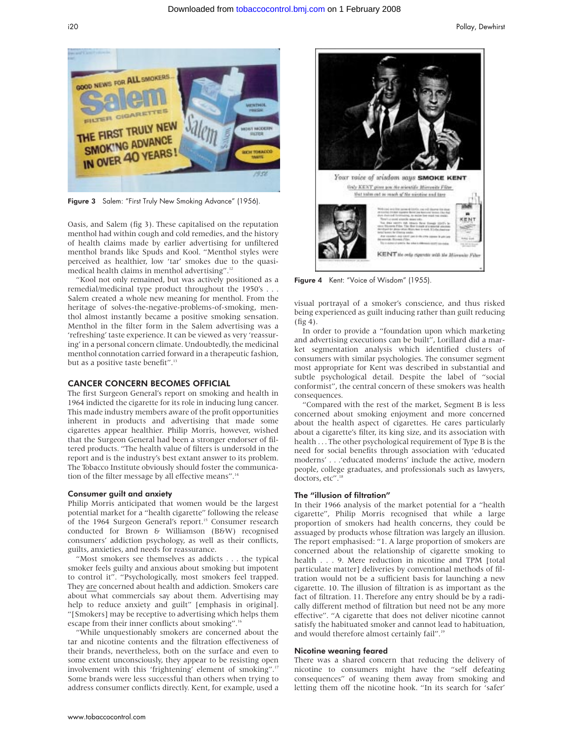

Figure 3 Salem: "First Truly New Smoking Advance" (1956).

Oasis, and Salem (fig 3). These capitalised on the reputation menthol had within cough and cold remedies, and the history of health claims made by earlier advertising for unfiltered menthol brands like Spuds and Kool. "Menthol styles were perceived as healthier, low 'tar' smokes due to the quasimedical health claims in menthol advertising".<sup>12</sup>

"Kool not only remained, but was actively positioned as a remedial/medicinal type product throughout the 1950's . . . Salem created a whole new meaning for menthol. From the heritage of solves-the-negative-problems-of-smoking, menthol almost instantly became a positive smoking sensation. Menthol in the filter form in the Salem advertising was a 'refreshing' taste experience. It can be viewed as very 'reassuring' in a personal concern climate. Undoubtedly, the medicinal menthol connotation carried forward in a therapeutic fashion, but as a positive taste benefit".<sup>13</sup>

## CANCER CONCERN BECOMES OFFICIAL

The first Surgeon General's report on smoking and health in 1964 indicted the cigarette for its role in inducing lung cancer. This made industry members aware of the profit opportunities inherent in products and advertising that made some cigarettes appear healthier. Philip Morris, however, wished that the Surgeon General had been a stronger endorser of filtered products. "The health value of filters is undersold in the report and is the industry's best extant answer to its problem. The Tobacco Institute obviously should foster the communication of the filter message by all effective means".<sup>14</sup>

## Consumer guilt and anxiety

Philip Morris anticipated that women would be the largest potential market for a "health cigarette" following the release of the 1964 Surgeon General's report.<sup>15</sup> Consumer research conducted for Brown & Williamson (B&W) recognised consumers' addiction psychology, as well as their conflicts, guilts, anxieties, and needs for reassurance.

"Most smokers see themselves as addicts . . . the typical smoker feels guilty and anxious about smoking but impotent to control it". "Psychologically, most smokers feel trapped. They are concerned about health and addiction. Smokers care about what commercials say about them. Advertising may help to reduce anxiety and guilt" [emphasis in original]. "[Smokers] may be receptive to advertising which helps them escape from their inner conflicts about smoking".<sup>16</sup>

"While unquestionably smokers are concerned about the tar and nicotine contents and the filtration effectiveness of their brands, nevertheless, both on the surface and even to some extent unconsciously, they appear to be resisting open involvement with this 'frightening' element of smoking".17 Some brands were less successful than others when trying to address consumer conflicts directly. Kent, for example, used a



Figure 4 Kent: "Voice of Wisdom" (1955).

visual portrayal of a smoker's conscience, and thus risked being experienced as guilt inducing rather than guilt reducing  $(fig 4)$ .

In order to provide a "foundation upon which marketing and advertising executions can be built", Lorillard did a market segmentation analysis which identified clusters of consumers with similar psychologies. The consumer segment most appropriate for Kent was described in substantial and subtle psychological detail. Despite the label of "social conformist", the central concern of these smokers was health consequences.

"Compared with the rest of the market, Segment B is less concerned about smoking enjoyment and more concerned about the health aspect of cigarettes. He cares particularly about a cigarette's filter, its king size, and its association with health . . . The other psychological requirement of Type B is the need for social benefits through association with 'educated moderns' . . .'educated moderns' include the active, modern people, college graduates, and professionals such as lawyers, doctors, etc".<sup>1</sup>

## The "illusion of filtration"

In their 1966 analysis of the market potential for a "health cigarette", Philip Morris recognised that while a large proportion of smokers had health concerns, they could be assuaged by products whose filtration was largely an illusion. The report emphasised: "1. A large proportion of smokers are concerned about the relationship of cigarette smoking to health . . . 9. Mere reduction in nicotine and TPM [total particulate matter] deliveries by conventional methods of filtration would not be a sufficient basis for launching a new cigarette. 10. The illusion of filtration is as important as the fact of filtration. 11. Therefore any entry should be by a radically different method of filtration but need not be any more effective". "A cigarette that does not deliver nicotine cannot satisfy the habituated smoker and cannot lead to habituation, and would therefore almost certainly fail".<sup>19</sup>

## Nicotine weaning feared

There was a shared concern that reducing the delivery of nicotine to consumers might have the "self defeating consequences" of weaning them away from smoking and letting them off the nicotine hook. "In its search for 'safer'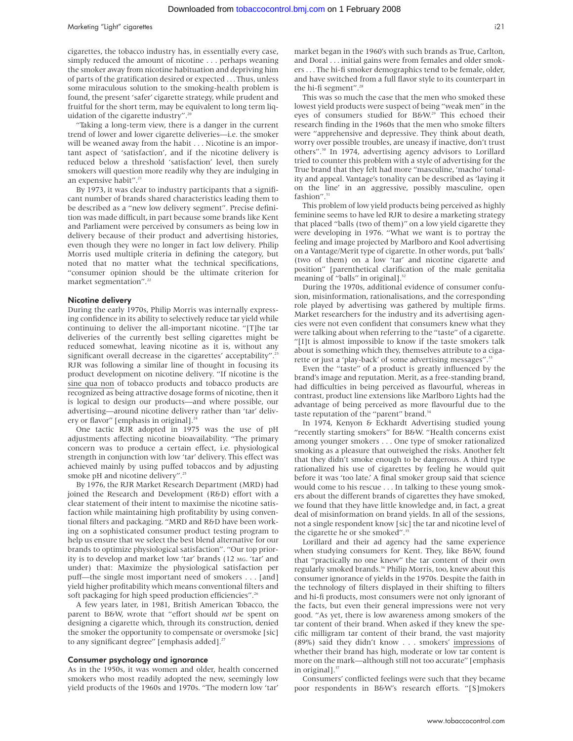cigarettes, the tobacco industry has, in essentially every case, simply reduced the amount of nicotine . . . perhaps weaning the smoker away from nicotine habituation and depriving him of parts of the gratification desired or expected . . . Thus, unless some miraculous solution to the smoking-health problem is found, the present 'safer' cigarette strategy, while prudent and fruitful for the short term, may be equivalent to long term liquidation of the cigarette industry".<sup>2</sup>

"Taking a long-term view, there is a danger in the current trend of lower and lower cigarette deliveries—i.e. the smoker will be weaned away from the habit . . . Nicotine is an important aspect of 'satisfaction', and if the nicotine delivery is reduced below a threshold 'satisfaction' level, then surely smokers will question more readily why they are indulging in an expensive habit".<sup>21</sup>

By 1973, it was clear to industry participants that a significant number of brands shared characteristics leading them to be described as a "new low delivery segment". Precise definition was made difficult, in part because some brands like Kent and Parliament were perceived by consumers as being low in delivery because of their product and advertising histories, even though they were no longer in fact low delivery. Philip Morris used multiple criteria in defining the category, but noted that no matter what the technical specifications, "consumer opinion should be the ultimate criterion for market segmentation".<sup>22</sup>

#### Nicotine delivery

During the early 1970s, Philip Morris was internally expressing confidence in its ability to selectively reduce tar yield while continuing to deliver the all-important nicotine. "[T]he tar deliveries of the currently best selling cigarettes might be reduced somewhat, leaving nicotine as it is, without any significant overall decrease in the cigarettes' acceptability". RJR was following a similar line of thought in focusing its product development on nicotine delivery. "If nicotine is the sine qua non of tobacco products and tobacco products are recognized as being attractive dosage forms of nicotine, then it is logical to design our products—and where possible, our advertising—around nicotine delivery rather than 'tar' delivery or flavor" [emphasis in original].<sup>3</sup>

One tactic RJR adopted in 1975 was the use of pH adjustments affecting nicotine bioavailability. "The primary concern was to produce a certain effect, i.e. physiological strength in conjunction with low 'tar' delivery. This effect was achieved mainly by using puffed tobaccos and by adjusting smoke pH and nicotine delivery".<sup>25</sup>

By 1976, the RJR Market Research Department (MRD) had joined the Research and Development (R&D) effort with a clear statement of their intent to maximise the nicotine satisfaction while maintaining high profitability by using conventional filters and packaging. "MRD and R&D have been working on a sophisticated consumer product testing program to help us ensure that we select the best blend alternative for our brands to optimize physiological satisfaction". "Our top priority is to develop and market low 'tar' brands (12 MG. 'tar' and under) that: Maximize the physiological satisfaction per puff—the single most important need of smokers . . . [and] yield higher profitability which means conventional filters and soft packaging for high speed production efficiencies".<sup>26</sup>

A few years later, in 1981, British American Tobacco, the parent to B&W, wrote that "effort should *not* be spent on designing a cigarette which, through its construction, denied the smoker the opportunity to compensate or oversmoke [sic] to any significant degree" [emphasis added].<sup>27</sup>

#### Consumer psychology and ignorance

As in the 1950s, it was women and older, health concerned smokers who most readily adopted the new, seemingly low yield products of the 1960s and 1970s. "The modern low 'tar'

market began in the 1960's with such brands as True, Carlton, and Doral . . . initial gains were from females and older smokers . . . The hi-fi smoker demographics tend to be female, older, and have switched from a full flavor style to its counterpart in the hi-fi segment".<sup>28</sup>

This was so much the case that the men who smoked these lowest yield products were suspect of being "weak men" in the eyes of consumers studied for B&W.29 This echoed their research finding in the 1960s that the men who smoke filters were "apprehensive and depressive. They think about death, worry over possible troubles, are uneasy if inactive, don't trust others".30 In 1974, advertising agency advisors to Lorillard tried to counter this problem with a style of advertising for the True brand that they felt had more "masculine, 'macho' tonality and appeal. Vantage's tonality can be described as 'laying it on the line' in an aggressive, possibly masculine, open fashion".<sup>31</sup>

This problem of low yield products being perceived as highly feminine seems to have led RJR to desire a marketing strategy that placed "balls (two of them)" on a low yield cigarette they were developing in 1976. "What we want is to portray the feeling and image projected by Marlboro and Kool advertising on a Vantage/Merit type of cigarette. In other words, put 'balls' (two of them) on a low 'tar' and nicotine cigarette and position" [parenthetical clarification of the male genitalia meaning of "balls" in original].<sup>32</sup>

During the 1970s, additional evidence of consumer confusion, misinformation, rationalisations, and the corresponding role played by advertising was gathered by multiple firms. Market researchers for the industry and its advertising agencies were not even confident that consumers knew what they were talking about when referring to the "taste" of a cigarette. "[I]t is almost impossible to know if the taste smokers talk about is something which they, themselves attribute to a cigarette or just a 'play-back' of some advertising messages".

Even the "taste" of a product is greatly influenced by the brand's image and reputation. Merit, as a free-standing brand, had difficulties in being perceived as flavourful, whereas in contrast, product line extensions like Marlboro Lights had the advantage of being perceived as more flavourful due to the taste reputation of the "parent" brand.<sup>34</sup>

In 1974, Kenyon & Eckhardt Advertising studied young "recently starting smokers" for B&W. "Health concerns exist among younger smokers . . . One type of smoker rationalized smoking as a pleasure that outweighed the risks. Another felt that they didn't smoke enough to be dangerous. A third type rationalized his use of cigarettes by feeling he would quit before it was 'too late.' A final smoker group said that science would come to his rescue . . . In talking to these young smokers about the different brands of cigarettes they have smoked, we found that they have little knowledge and, in fact, a great deal of misinformation on brand yields. In all of the sessions, not a single respondent know [sic] the tar and nicotine level of the cigarette he or she smoked".

Lorillard and their ad agency had the same experience when studying consumers for Kent. They, like B&W, found that "practically no one knew" the tar content of their own regularly smoked brands.<sup>36</sup> Philip Morris, too, knew about this consumer ignorance of yields in the 1970s. Despite the faith in the technology of filters displayed in their shifting to filters and hi-fi products, most consumers were not only ignorant of the facts, but even their general impressions were not very good. "As yet, there is low awareness among smokers of the tar content of their brand. When asked if they knew the specific milligram tar content of their brand, the vast majority (89%) said they didn't know . . . smokers' impressions of whether their brand has high, moderate or low tar content is more on the mark—although still not too accurate" [emphasis in original].<sup>37</sup>

Consumers' conflicted feelings were such that they became poor respondents in B&W's research efforts. "[S]mokers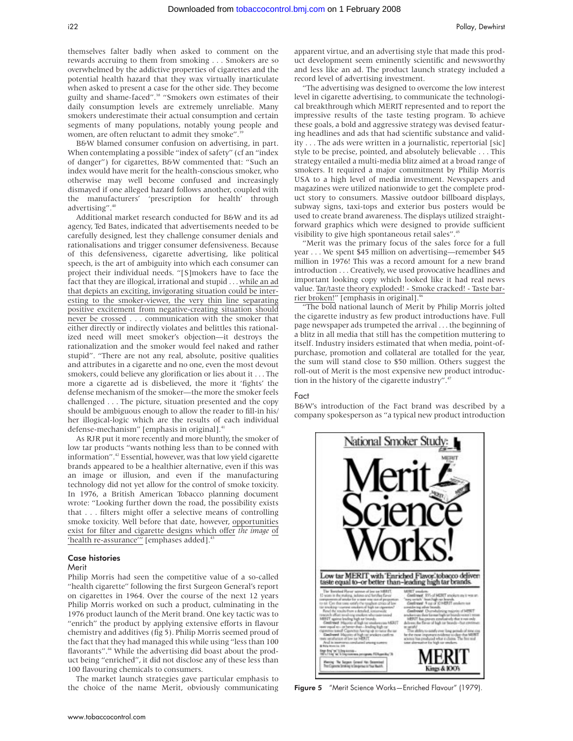themselves falter badly when asked to comment on the rewards accruing to them from smoking . . . Smokers are so overwhelmed by the addictive properties of cigarettes and the potential health hazard that they wax virtually inarticulate when asked to present a case for the other side. They become guilty and shame-faced".<sup>38</sup> "Smokers own estimates of their daily consumption levels are extremely unreliable. Many smokers underestimate their actual consumption and certain segments of many populations, notably young people and women, are often reluctant to admit they smoke".

B&W blamed consumer confusion on advertising, in part. When contemplating a possible "index of safety" (cf an "index of danger") for cigarettes, B&W commented that: "Such an index would have merit for the health-conscious smoker, who otherwise may well become confused and increasingly dismayed if one alleged hazard follows another, coupled with the manufacturers' 'prescription for health' through advertising".<sup>40</sup>

Additional market research conducted for B&W and its ad agency, Ted Bates, indicated that advertisements needed to be carefully designed, lest they challenge consumer denials and rationalisations and trigger consumer defensiveness. Because of this defensiveness, cigarette advertising, like political speech, is the art of ambiguity into which each consumer can project their individual needs. "[S]mokers have to face the fact that they are illogical, irrational and stupid ...while an ad that depicts an exciting, invigorating situation could be interesting to the smoker-viewer, the very thin line separating positive excitement from negative-creating situation should never be crossed . . . communication with the smoker that either directly or indirectly violates and belittles this rationalized need will meet smoker's objection—it destroys the rationalization and the smoker would feel naked and rather stupid". "There are not any real, absolute, positive qualities and attributes in a cigarette and no one, even the most devout smokers, could believe any glorification or lies about it . . . The more a cigarette ad is disbelieved, the more it 'fights' the defense mechanism of the smoker—the more the smoker feels challenged . . . The picture, situation presented and the copy should be ambiguous enough to allow the reader to fill-in his/ her illogical-logic which are the results of each individual defense-mechanism" [emphasis in original].<sup>4</sup>

As RJR put it more recently and more bluntly, the smoker of low tar products "wants nothing less than to be conned with information".42 Essential, however, was that low yield cigarette brands appeared to be a healthier alternative, even if this was an image or illusion, and even if the manufacturing technology did not yet allow for the control of smoke toxicity. In 1976, a British American Tobacco planning document wrote: "Looking further down the road, the possibility exists that . . . filters might offer a selective means of controlling smoke toxicity. Well before that date, however, opportunities exist for filter and cigarette designs which offer *the image* of 'health re-assurance'" [emphases added].<sup>43</sup>

#### Case histories

#### Merit

Philip Morris had seen the competitive value of a so-called "health cigarette" following the first Surgeon General's report on cigarettes in 1964. Over the course of the next 12 years Philip Morris worked on such a product, culminating in the 1976 product launch of the Merit brand. One key tactic was to "enrich" the product by applying extensive efforts in flavour chemistry and additives (fig 5). Philip Morris seemed proud of the fact that they had managed this while using "less than 100 flavorants".<sup>44</sup> While the advertising did boast about the product being "enriched", it did not disclose any of these less than 100 flavouring chemicals to consumers.

The market launch strategies gave particular emphasis to the choice of the name Merit, obviously communicating apparent virtue, and an advertising style that made this product development seem eminently scientific and newsworthy and less like an ad. The product launch strategy included a record level of advertising investment.

"The advertising was designed to overcome the low interest level in cigarette advertising, to communicate the technological breakthrough which MERIT represented and to report the impressive results of the taste testing program. To achieve these goals, a bold and aggressive strategy was devised featuring headlines and ads that had scientific substance and validity . . . The ads were written in a journalistic, repertorial [sic] style to be precise, pointed, and absolutely believable . . . This strategy entailed a multi-media blitz aimed at a broad range of smokers. It required a major commitment by Philip Morris USA to a high level of media investment. Newspapers and magazines were utilized nationwide to get the complete product story to consumers. Massive outdoor billboard displays, subway signs, taxi-tops and exterior bus posters would be used to create brand awareness. The displays utilized straightforward graphics which were designed to provide sufficient visibility to give high spontaneous retail sales".45

"Merit was the primary focus of the sales force for a full year . . . We spent \$45 million on advertising—remember \$45 million in 1976! This was a record amount for a new brand introduction . . . Creatively, we used provocative headlines and important looking copy which looked like it had real news value. Tar/taste theory exploded! - Smoke cracked! - Taste barrier broken!" [emphasis in original].<sup>46</sup>

"The bold national launch of Merit by Philip Morris jolted the cigarette industry as few product introductions have. Full page newspaper ads trumpeted the arrival . . . the beginning of a blitz in all media that still has the competition muttering to itself. Industry insiders estimated that when media, point-ofpurchase, promotion and collateral are totalled for the year, the sum will stand close to \$50 million. Others suggest the roll-out of Merit is the most expensive new product introduction in the history of the cigarette industry".<sup>47</sup>

#### Fact

B&W's introduction of the Fact brand was described by a company spokesperson as "a typical new product introduction



Figure 5 "Merit Science Works-Enriched Flavour" (1979).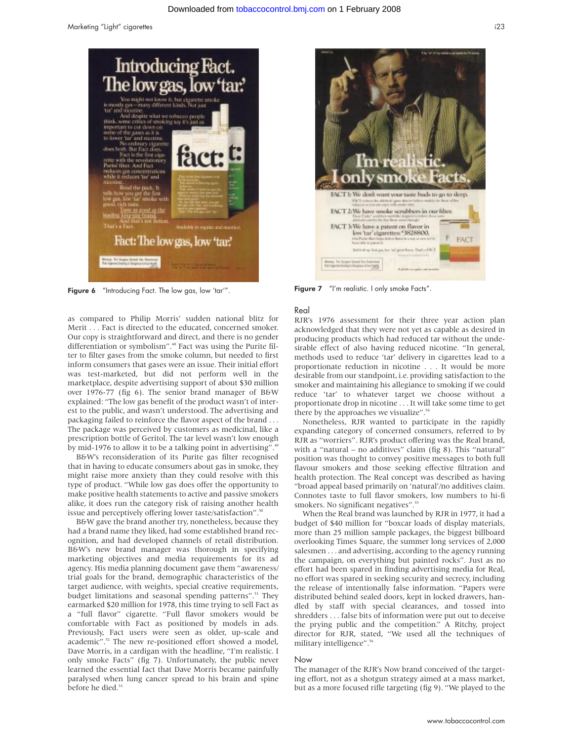

Figure 6 "Introducing Fact. The low gas, low 'tar'". Figure 7 "I'm realistic. I only smoke Facts".

as compared to Philip Morris' sudden national blitz for Merit . . . Fact is directed to the educated, concerned smoker. Our copy is straightforward and direct, and there is no gender differentiation or symbolism".<sup>48</sup> Fact was using the Purite filter to filter gases from the smoke column, but needed to first inform consumers that gases were an issue. Their initial effort was test-marketed, but did not perform well in the marketplace, despite advertising support of about \$30 million over 1976-77 (fig 6). The senior brand manager of B&W explained: "The low gas benefit of the product wasn't of interest to the public, and wasn't understood. The advertising and packaging failed to reinforce the flavor aspect of the brand . . . The package was perceived by customers as medicinal, like a prescription bottle of Geritol. The tar level wasn't low enough by mid-1976 to allow it to be a talking point in advertising".<sup>4</sup>

B&W's reconsideration of its Purite gas filter recognised that in having to educate consumers about gas in smoke, they might raise more anxiety than they could resolve with this type of product. "While low gas does offer the opportunity to make positive health statements to active and passive smokers alike, it does run the category risk of raising another health issue and perceptively offering lower taste/satisfaction".<sup>50</sup>

B&W gave the brand another try, nonetheless, because they had a brand name they liked, had some established brand recognition, and had developed channels of retail distribution. B&W's new brand manager was thorough in specifying marketing objectives and media requirements for its ad agency. His media planning document gave them "awareness/ trial goals for the brand, demographic characteristics of the target audience, with weights, special creative requirements, budget limitations and seasonal spending patterns".<sup>51</sup> They earmarked \$20 million for 1978, this time trying to sell Fact as a "full flavor" cigarette. "Full flavor smokers would be comfortable with Fact as positioned by models in ads. Previously, Fact users were seen as older, up-scale and academic".<sup>52</sup> The new re-positioned effort showed a model, Dave Morris, in a cardigan with the headline, "I'm realistic. I only smoke Facts" (fig 7). Unfortunately, the public never learned the essential fact that Dave Morris became painfully paralysed when lung cancer spread to his brain and spine before he died.<sup>53</sup>



## Real

RJR's 1976 assessment for their three year action plan acknowledged that they were not yet as capable as desired in producing products which had reduced tar without the undesirable effect of also having reduced nicotine. "In general, methods used to reduce 'tar' delivery in cigarettes lead to a proportionate reduction in nicotine . . . It would be more desirable from our standpoint, i.e. providing satisfaction to the smoker and maintaining his allegiance to smoking if we could reduce 'tar' to whatever target we choose without a proportionate drop in nicotine . . . It will take some time to get there by the approaches we visualize".<sup>54</sup>

Nonetheless, RJR wanted to participate in the rapidly expanding category of concerned consumers, referred to by RJR as "worriers". RJR's product offering was the Real brand, with a "natural – no additives" claim (fig 8). This "natural" position was thought to convey positive messages to both full flavour smokers and those seeking effective filtration and health protection. The Real concept was described as having "broad appeal based primarily on 'natural'/no additives claim. Connotes taste to full flavor smokers, low numbers to hi-fi smokers. No significant negatives".<sup>55</sup>

When the Real brand was launched by RJR in 1977, it had a budget of \$40 million for "boxcar loads of display materials, more than 25 million sample packages, the biggest billboard overlooking Times Square, the summer long services of 2,000 salesmen . . . and advertising, according to the agency running the campaign, on everything but painted rocks". Just as no effort had been spared in finding advertising media for Real, no effort was spared in seeking security and secrecy, including the release of intentionally false information. "Papers were distributed behind sealed doors, kept in locked drawers, handled by staff with special clearances, and tossed into shredders ...false bits of information were put out to deceive the prying public and the competition." A Ritchy, project director for RJR, stated, "We used all the techniques of military intelligence".<sup>56</sup>

## Now

The manager of the RJR's Now brand conceived of the targeting effort, not as a shotgun strategy aimed at a mass market, but as a more focused rifle targeting (fig 9). "We played to the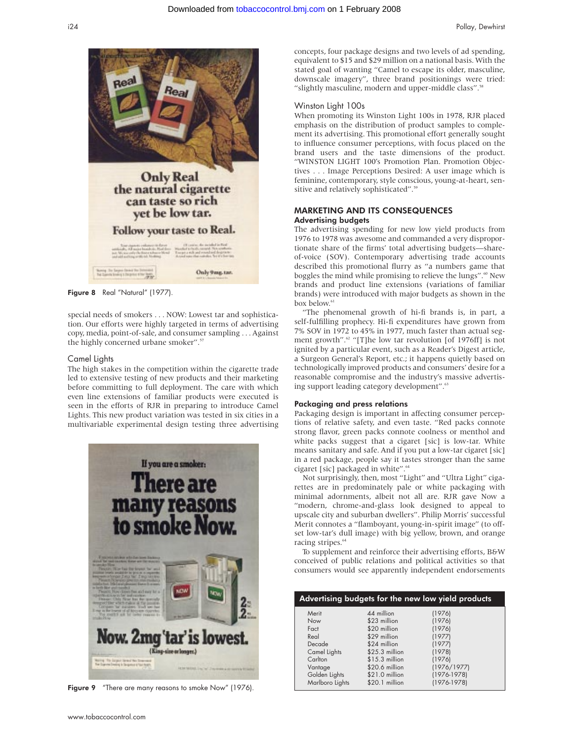



special needs of smokers . . . NOW: Lowest tar and sophistication. Our efforts were highly targeted in terms of advertising copy, media, point-of-sale, and consumer sampling . . . Against the highly concerned urbane smoker".<sup>57</sup>

## Camel Lights

The high stakes in the competition within the cigarette trade led to extensive testing of new products and their marketing before committing to full deployment. The care with which even line extensions of familiar products were executed is seen in the efforts of RJR in preparing to introduce Camel Lights. This new product variation was tested in six cities in a multivariable experimental design testing three advertising



Figure 9 "There are many reasons to smoke Now" (1976).

concepts, four package designs and two levels of ad spending, equivalent to \$15 and \$29 million on a national basis. With the stated goal of wanting "Camel to escape its older, masculine, downscale imagery", three brand positionings were tried: "slightly masculine, modern and upper-middle class".<sup>58</sup>

#### Winston Light 100s

When promoting its Winston Light 100s in 1978, RJR placed emphasis on the distribution of product samples to complement its advertising. This promotional effort generally sought to influence consumer perceptions, with focus placed on the brand users and the taste dimensions of the product. "WINSTON LIGHT 100's Promotion Plan. Promotion Objectives . . . Image Perceptions Desired: A user image which is feminine, contemporary, style conscious, young-at-heart, sensitive and relatively sophisticated".<sup>59</sup>

## MARKETING AND ITS CONSEQUENCES Advertising budgets

The advertising spending for new low yield products from 1976 to 1978 was awesome and commanded a very disproportionate share of the firms' total advertising budgets—shareof-voice (SOV). Contemporary advertising trade accounts described this promotional flurry as "a numbers game that boggles the mind while promising to relieve the lungs".<sup>60</sup> New brands and product line extensions (variations of familiar brands) were introduced with major budgets as shown in the box below.<sup>61</sup>

"The phenomenal growth of hi-fi brands is, in part, a self-fulfilling prophecy. Hi-fi expenditures have grown from 7% SOV in 1972 to 45% in 1977, much faster than actual segment growth".<sup>62</sup> "[T]he low tar revolution [of 1976ff] is not ignited by a particular event, such as a Reader's Digest article, a Surgeon General's Report, etc.; it happens quietly based on technologically improved products and consumers' desire for a reasonable compromise and the industry's massive advertising support leading category development".<sup>63</sup>

#### Packaging and press relations

Packaging design is important in affecting consumer perceptions of relative safety, and even taste. "Red packs connote strong flavor, green packs connote coolness or menthol and white packs suggest that a cigaret [sic] is low-tar. White means sanitary and safe. And if you put a low-tar cigaret [sic] in a red package, people say it tastes stronger than the same cigaret [sic] packaged in white".<sup>6</sup>

Not surprisingly, then, most "Light" and "Ultra Light" cigarettes are in predominately pale or white packaging with minimal adornments, albeit not all are. RJR gave Now a "modern, chrome-and-glass look designed to appeal to upscale city and suburban dwellers". Philip Morris' successful Merit connotes a "flamboyant, young-in-spirit image" (to offset low-tar's dull image) with big yellow, brown, and orange racing stripes.<sup>64</sup>

To supplement and reinforce their advertising efforts, B&W conceived of public relations and political activities so that consumers would see apparently independent endorsements

| Advertising budgets for the new low yield products |                 |                 |  |
|----------------------------------------------------|-----------------|-----------------|--|
| Merit                                              | 44 million      | (1976)          |  |
| Now                                                | \$23 million    | (1976)          |  |
| Fact                                               | \$20 million    | (1976)          |  |
| Real                                               | \$29 million    | (1977)          |  |
| Decade                                             | \$24 million    | (1977)          |  |
| Camel Lights                                       | $$25.3$ million | (1978)          |  |
| Carlton                                            | $$15.3$ million | (1976)          |  |
| Vantage                                            | \$20.6 million  | (1976/1977)     |  |
| Golden Lights                                      | $$21.0$ million | $(1976 - 1978)$ |  |
| Marlboro Lights                                    | $$20.1$ million | $(1976 - 1978)$ |  |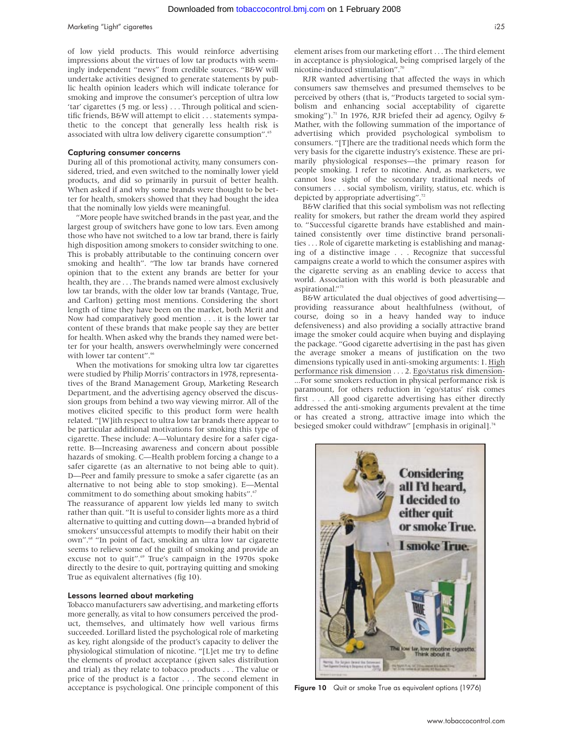of low yield products. This would reinforce advertising impressions about the virtues of low tar products with seemingly independent "news" from credible sources. "B&W will undertake activities designed to generate statements by public health opinion leaders which will indicate tolerance for smoking and improve the consumer's perception of ultra low 'tar' cigarettes (5 mg. or less) . . . Through political and scientific friends, B&W will attempt to elicit . . . statements sympathetic to the concept that generally less health risk is associated with ultra low delivery cigarette consumption".<sup>65</sup>

## Capturing consumer concerns

During all of this promotional activity, many consumers considered, tried, and even switched to the nominally lower yield products, and did so primarily in pursuit of better health. When asked if and why some brands were thought to be better for health, smokers showed that they had bought the idea that the nominally low yields were meaningful.

"More people have switched brands in the past year, and the largest group of switchers have gone to low tars. Even among those who have not switched to a low tar brand, there is fairly high disposition among smokers to consider switching to one. This is probably attributable to the continuing concern over smoking and health". "The low tar brands have cornered opinion that to the extent any brands are better for your health, they are . . . The brands named were almost exclusively low tar brands, with the older low tar brands (Vantage, True, and Carlton) getting most mentions. Considering the short length of time they have been on the market, both Merit and Now had comparatively good mention . . . it is the lower tar content of these brands that make people say they are better for health. When asked why the brands they named were better for your health, answers overwhelmingly were concerned with lower tar content".<sup>66</sup>

When the motivations for smoking ultra low tar cigarettes were studied by Philip Morris' contractors in 1978, representatives of the Brand Management Group, Marketing Research Department, and the advertising agency observed the discussion groups from behind a two way viewing mirror. All of the motives elicited specific to this product form were health related. "[W]ith respect to ultra low tar brands there appear to be particular additional motivations for smoking this type of cigarette. These include: A—Voluntary desire for a safer cigarette. B—Increasing awareness and concern about possible hazards of smoking. C—Health problem forcing a change to a safer cigarette (as an alternative to not being able to quit). D—Peer and family pressure to smoke a safer cigarette (as an alternative to not being able to stop smoking). E—Mental commitment to do something about smoking habits".<sup>6</sup>

The reassurance of apparent low yields led many to switch rather than quit. "It is useful to consider lights more as a third alternative to quitting and cutting down—a branded hybrid of smokers' unsuccessful attempts to modify their habit on their own".<sup>68</sup> "In point of fact, smoking an ultra low tar cigarette seems to relieve some of the guilt of smoking and provide an excuse not to quit".<sup>69</sup> True's campaign in the 1970s spoke directly to the desire to quit, portraying quitting and smoking True as equivalent alternatives (fig 10).

## Lessons learned about marketing

Tobacco manufacturers saw advertising, and marketing efforts more generally, as vital to how consumers perceived the product, themselves, and ultimately how well various firms succeeded. Lorillard listed the psychological role of marketing as key, right alongside of the product's capacity to deliver the physiological stimulation of nicotine. "[L]et me try to define the elements of product acceptance (given sales distribution and trial) as they relate to tobacco products . . . The value or price of the product is a factor . . . The second element in acceptance is psychological. One principle component of this element arises from our marketing effort . . . The third element in acceptance is physiological, being comprised largely of the nicotine-induced stimulation".<sup>7</sup>

RJR wanted advertising that affected the ways in which consumers saw themselves and presumed themselves to be perceived by others (that is, "Products targeted to social symbolism and enhancing social acceptability of cigarette smoking").<sup>71</sup> In 1976, RJR briefed their ad agency, Ogilvy  $\delta$ Mather, with the following summation of the importance of advertising which provided psychological symbolism to consumers. "[T]here are the traditional needs which form the very basis for the cigarette industry's existence. These are primarily physiological responses—the primary reason for people smoking. I refer to nicotine. And, as marketers, we cannot lose sight of the secondary traditional needs of consumers . . . social symbolism, virility, status, etc. which is depicted by appropriate advertising".<sup>72</sup>

B&W clarified that this social symbolism was not reflecting reality for smokers, but rather the dream world they aspired to. "Successful cigarette brands have established and maintained consistently over time distinctive brand personalities . . . Role of cigarette marketing is establishing and managing of a distinctive image . . . Recognize that successful campaigns create a world to which the consumer aspires with the cigarette serving as an enabling device to access that world. Association with this world is both pleasurable and aspirational."73

B&W articulated the dual objectives of good advertising providing reassurance about healthfulness (without, of course, doing so in a heavy handed way to induce defensiveness) and also providing a socially attractive brand image the smoker could acquire when buying and displaying the package. "Good cigarette advertising in the past has given the average smoker a means of justification on the two dimensions typically used in anti-smoking arguments: 1. High performance risk dimension . . . 2. Ego/status risk dimension- ...For some smokers reduction in physical performance risk is paramount, for others reduction in 'ego/status' risk comes first . . . All good cigarette advertising has either directly addressed the anti-smoking arguments prevalent at the time or has created a strong, attractive image into which the besieged smoker could withdraw" [emphasis in original].<sup>74</sup>



Figure 10 Quit or smoke True as equivalent options (1976)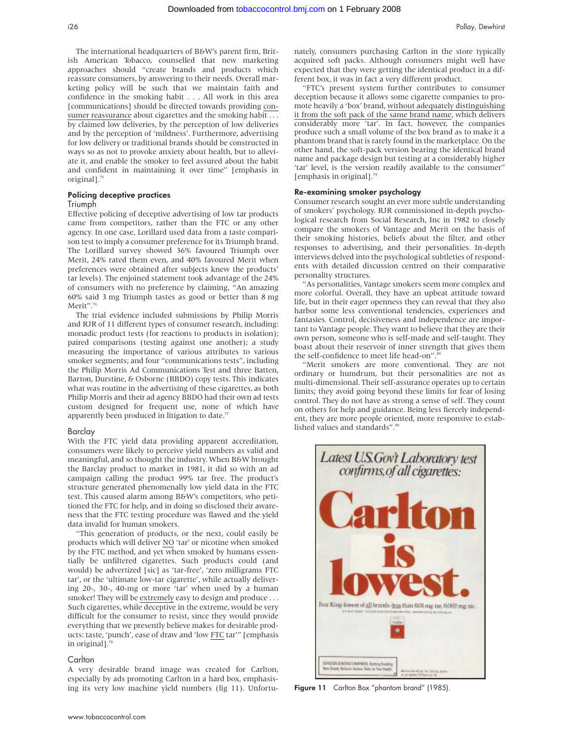The international headquarters of B&W's parent firm, British American Tobacco, counselled that new marketing approaches should "create brands and products which reassure consumers, by answering to their needs. Overall marketing policy will be such that we maintain faith and confidence in the smoking habit . . . All work in this area [communications] should be directed towards providing consumer reassurance about cigarettes and the smoking habit ... by claimed low deliveries, by the perception of low deliveries and by the perception of 'mildness'. Furthermore, advertising for low delivery or traditional brands should be constructed in ways so as not to provoke anxiety about health, but to alleviate it, and enable the smoker to feel assured about the habit and confident in maintaining it over time" [emphasis in original].<sup>75</sup>

## Policing deceptive practices

## Triumph

Effective policing of deceptive advertising of low tar products came from competitors, rather than the FTC or any other agency. In one case, Lorillard used data from a taste comparison test to imply a consumer preference for its Triumph brand. The Lorillard survey showed 36% favoured Triumph over Merit, 24% rated them even, and 40% favoured Merit when preferences were obtained after subjects knew the products' tar levels). The enjoined statement took advantage of the 24% of consumers with no preference by claiming, "An amazing 60% said 3 mg Triumph tastes as good or better than 8 mg Merit".<sup>76</sup>

The trial evidence included submissions by Philip Morris and RJR of 11 different types of consumer research, including: monadic product tests (for reactions to products in isolation); paired comparisons (testing against one another); a study measuring the importance of various attributes to various smoker segments; and four "communications tests", including the Philip Morris Ad Communications Test and three Batten, Barton, Durstine, & Osborne (BBDO) copy tests. This indicates what was routine in the advertising of these cigarettes, as both Philip Morris and their ad agency BBDO had their own ad tests custom designed for frequent use, none of which have apparently been produced in litigation to date.<sup>77</sup>

#### Barclay

With the FTC yield data providing apparent accreditation, consumers were likely to perceive yield numbers as valid and meaningful, and so thought the industry. When B&W brought the Barclay product to market in 1981, it did so with an ad campaign calling the product 99% tar free. The product's structure generated phenomenally low yield data in the FTC test. This caused alarm among B&W's competitors, who petitioned the FTC for help, and in doing so disclosed their awareness that the FTC testing procedure was flawed and the yield data invalid for human smokers.

"This generation of products, or the next, could easily be products which will deliver NO 'tar' or nicotine when smoked by the FTC method, and yet when smoked by humans essentially be unfiltered cigarettes. Such products could (and would) be advertized [sic] as 'tar-free', 'zero milligrams FTC tar', or the 'ultimate low-tar cigarette', while actually delivering 20-, 30-, 40-mg or more 'tar' when used by a human smoker! They will be extremely easy to design and produce . . . Such cigarettes, while deceptive in the extreme, would be very difficult for the consumer to resist, since they would provide everything that we presently believe makes for desirable products: taste, 'punch', ease of draw and 'low FTC tar'" [emphasis in original]. $78$ 

## **Carlton**

A very desirable brand image was created for Carlton, especially by ads promoting Carlton in a hard box, emphasising its very low machine yield numbers (fig 11). Unfortunately, consumers purchasing Carlton in the store typically acquired soft packs. Although consumers might well have expected that they were getting the identical product in a different box, it was in fact a very different product.

"FTC's present system further contributes to consumer deception because it allows some cigarette companies to promote heavily a 'box' brand, without adequately distinguishing it from the soft pack of the same brand name, which delivers considerably more 'tar'. In fact, however, the companies produce such a small volume of the box brand as to make it a phantom brand that is rarely found in the marketplace. On the other hand, the soft-pack version bearing the identical brand name and package design but testing at a considerably higher 'tar' level, is the version readily available to the consumer" [emphasis in original].79

## Re-examining smoker psychology

Consumer research sought an ever more subtle understanding of smokers' psychology. RJR commissioned in-depth psychological research from Social Research, Inc in 1982 to closely compare the smokers of Vantage and Merit on the basis of their smoking histories, beliefs about the filter, and other responses to advertising, and their personalities. In-depth interviews delved into the psychological subtleties of respondents with detailed discussion centred on their comparative personality structures.

"As personalities, Vantage smokers seem more complex and more colorful. Overall, they have an upbeat attitude toward life, but in their eager openness they can reveal that they also harbor some less conventional tendencies, experiences and fantasies. Control, decisiveness and independence are important to Vantage people. They want to believe that they are their own person, someone who is self-made and self-taught. They boast about their reservoir of inner strength that gives them the self-confidence to meet life head-on".

"Merit smokers are more conventional. They are not ordinary or humdrum, but their personalities are not as multi-dimensional. Their self-assurance operates up to certain limits; they avoid going beyond these limits for fear of losing control. They do not have as strong a sense of self. They count on others for help and guidance. Being less fiercely independent, they are more people oriented, more responsive to established values and standards".<sup>80</sup>



Figure 11 Carlton Box "phantom brand" (1985).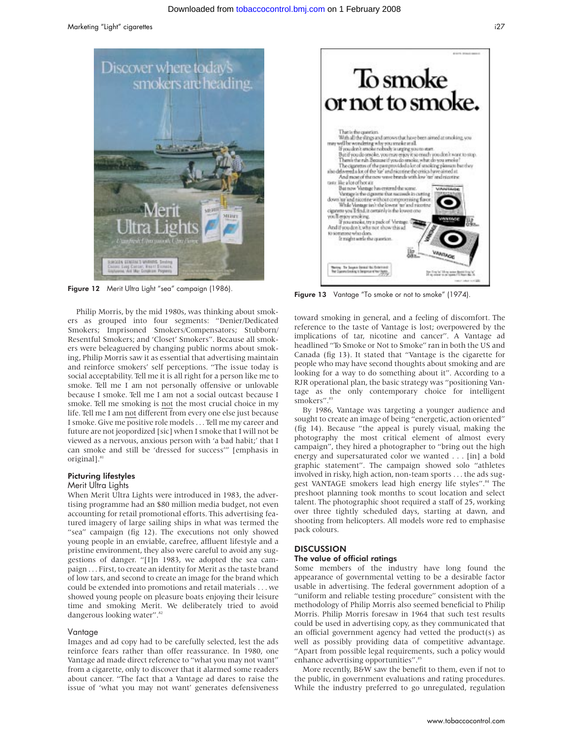Marketing "Light" cigarettes i27



Figure 12 Merit Ultra Light "sea" campaign (1986).<br>Figure 13 Vantage "To smoke or not to smoke" (1974).

Philip Morris, by the mid 1980s, was thinking about smokers as grouped into four segments: "Denier/Dedicated Smokers; Imprisoned Smokers/Compensators; Stubborn/ Resentful Smokers; and 'Closet' Smokers". Because all smokers were beleaguered by changing public norms about smoking, Philip Morris saw it as essential that advertising maintain and reinforce smokers' self perceptions. "The issue today is social acceptability. Tell me it is all right for a person like me to smoke. Tell me I am not personally offensive or unlovable because I smoke. Tell me I am not a social outcast because I smoke. Tell me smoking is not the most crucial choice in my life. Tell me I am not different from every one else just because I smoke. Give me positive role models . . . Tell me my career and future are not jeopordized [sic] when I smoke that I will not be viewed as a nervous, anxious person with 'a bad habit;' that I can smoke and still be 'dressed for success'" [emphasis in original].<sup>8</sup>

## Picturing lifestyles

## Merit Ultra Lights

When Merit Ultra Lights were introduced in 1983, the advertising programme had an \$80 million media budget, not even accounting for retail promotional efforts. This advertising featured imagery of large sailing ships in what was termed the "sea" campaign (fig 12). The executions not only showed young people in an enviable, carefree, affluent lifestyle and a pristine environment, they also were careful to avoid any suggestions of danger. "[I]n 1983, we adopted the sea campaign . . . First, to create an identity for Merit as the taste brand of low tars, and second to create an image for the brand which could be extended into promotions and retail materials . . . we showed young people on pleasure boats enjoying their leisure time and smoking Merit. We deliberately tried to avoid dangerous looking water".<sup>82</sup>

## Vantage

Images and ad copy had to be carefully selected, lest the ads reinforce fears rather than offer reassurance. In 1980, one Vantage ad made direct reference to "what you may not want" from a cigarette, only to discover that it alarmed some readers about cancer. "The fact that a Vantage ad dares to raise the issue of 'what you may not want' generates defensiveness



toward smoking in general, and a feeling of discomfort. The reference to the taste of Vantage is lost; overpowered by the implications of tar, nicotine and cancer". A Vantage ad headlined "To Smoke or Not to Smoke" ran in both the US and Canada (fig 13). It stated that "Vantage is the cigarette for people who may have second thoughts about smoking and are looking for a way to do something about it". According to a RJR operational plan, the basic strategy was "positioning Vantage as the only contemporary choice for intelligent smokers".<sup>83</sup>

By 1986, Vantage was targeting a younger audience and sought to create an image of being "energetic, action oriented" (fig 14). Because "the appeal is purely visual, making the photography the most critical element of almost every campaign", they hired a photographer to "bring out the high energy and supersaturated color we wanted . . . [in] a bold graphic statement". The campaign showed solo "athletes involved in risky, high action, non-team sports . . . the ads suggest VANTAGE smokers lead high energy life styles".<sup>84</sup> The preshoot planning took months to scout location and select talent. The photographic shoot required a staff of 25, working over three tightly scheduled days, starting at dawn, and shooting from helicopters. All models wore red to emphasise pack colours.

## **DISCUSSION**

## The value of official ratings

Some members of the industry have long found the appearance of governmental vetting to be a desirable factor usable in advertising. The federal government adoption of a "uniform and reliable testing procedure" consistent with the methodology of Philip Morris also seemed beneficial to Philip Morris. Philip Morris foresaw in 1964 that such test results could be used in advertising copy, as they communicated that an official government agency had vetted the product(s) as well as possibly providing data of competitive advantage. "Apart from possible legal requirements, such a policy would enhance advertising opportunities".<sup>85</sup>

More recently, B&W saw the benefit to them, even if not to the public, in government evaluations and rating procedures. While the industry preferred to go unregulated, regulation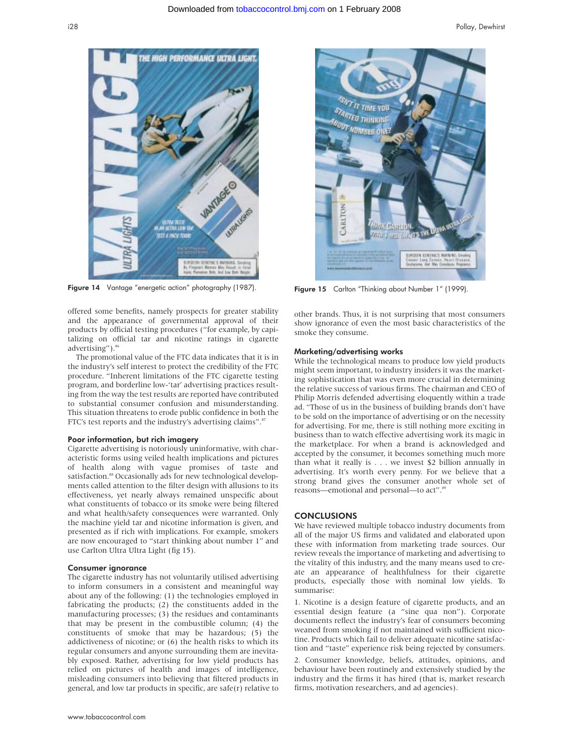

Figure 14 Vantage "energetic action" photography (1987). Figure 15 Carlton "Thinking about Number 1" (1999).

offered some benefits, namely prospects for greater stability and the appearance of governmental approval of their products by official testing procedures ("for example, by capitalizing on official tar and nicotine ratings in cigarette advertising").<sup>86</sup>

The promotional value of the FTC data indicates that it is in the industry's self interest to protect the credibility of the FTC procedure. "Inherent limitations of the FTC cigarette testing program, and borderline low-'tar' advertising practices resulting from the way the test results are reported have contributed to substantial consumer confusion and misunderstanding. This situation threatens to erode public confidence in both the FTC's test reports and the industry's advertising claims".<sup>87</sup>

#### Poor information, but rich imagery

Cigarette advertising is notoriously uninformative, with characteristic forms using veiled health implications and pictures of health along with vague promises of taste and satisfaction.<sup>88</sup> Occasionally ads for new technological developments called attention to the filter design with allusions to its effectiveness, yet nearly always remained unspecific about what constituents of tobacco or its smoke were being filtered and what health/safety consequences were warranted. Only the machine yield tar and nicotine information is given, and presented as if rich with implications. For example, smokers are now encouraged to "start thinking about number 1" and use Carlton Ultra Ultra Light (fig 15).

#### Consumer ignorance

The cigarette industry has not voluntarily utilised advertising to inform consumers in a consistent and meaningful way about any of the following: (1) the technologies employed in fabricating the products; (2) the constituents added in the manufacturing processes; (3) the residues and contaminants that may be present in the combustible column; (4) the constituents of smoke that may be hazardous; (5) the addictiveness of nicotine; or (6) the health risks to which its regular consumers and anyone surrounding them are inevitably exposed. Rather, advertising for low yield products has relied on pictures of health and images of intelligence, misleading consumers into believing that filtered products in general, and low tar products in specific, are safe(r) relative to



other brands. Thus, it is not surprising that most consumers show ignorance of even the most basic characteristics of the smoke they consume.

## Marketing/advertising works

While the technological means to produce low yield products might seem important, to industry insiders it was the marketing sophistication that was even more crucial in determining the relative success of various firms. The chairman and CEO of Philip Morris defended advertising eloquently within a trade ad. "Those of us in the business of building brands don't have to be sold on the importance of advertising or on the necessity for advertising. For me, there is still nothing more exciting in business than to watch effective advertising work its magic in the marketplace. For when a brand is acknowledged and accepted by the consumer, it becomes something much more than what it really is . . . we invest \$2 billion annually in advertising. It's worth every penny. For we believe that a strong brand gives the consumer another whole set of reasons—emotional and personal—to act".<sup>89</sup>

## **CONCLUSIONS**

We have reviewed multiple tobacco industry documents from all of the major US firms and validated and elaborated upon these with information from marketing trade sources. Our review reveals the importance of marketing and advertising to the vitality of this industry, and the many means used to create an appearance of healthfulness for their cigarette products, especially those with nominal low yields. To summarise:

1. Nicotine is a design feature of cigarette products, and an essential design feature (a "sine qua non"). Corporate documents reflect the industry's fear of consumers becoming weaned from smoking if not maintained with sufficient nicotine. Products which fail to deliver adequate nicotine satisfaction and "taste" experience risk being rejected by consumers.

2. Consumer knowledge, beliefs, attitudes, opinions, and behaviour have been routinely and extensively studied by the industry and the firms it has hired (that is, market research firms, motivation researchers, and ad agencies).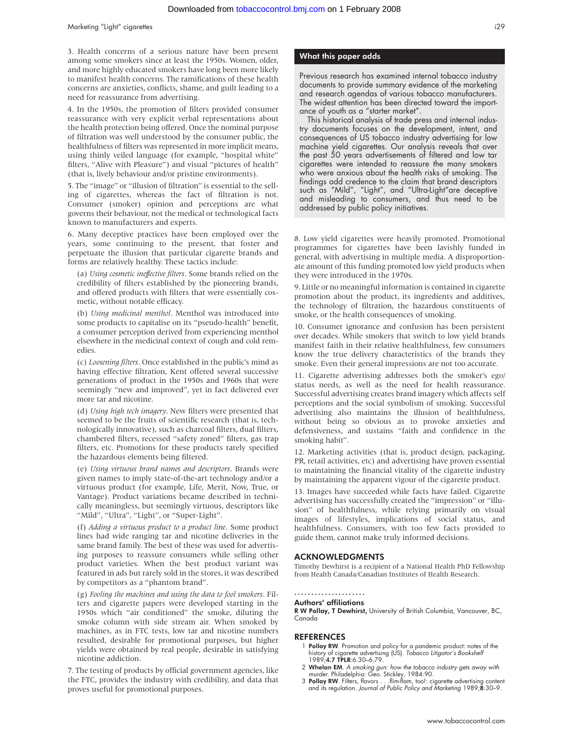3. Health concerns of a serious nature have been present among some smokers since at least the 1950s. Women, older, and more highly educated smokers have long been more likely to manifest health concerns. The ramifications of these health concerns are anxieties, conflicts, shame, and guilt leading to a need for reassurance from advertising.

4. In the 1950s, the promotion of filters provided consumer reassurance with very explicit verbal representations about the health protection being offered. Once the nominal purpose of filtration was well understood by the consumer public, the healthfulness of filters was represented in more implicit means, using thinly veiled language (for example, "hospital white" filters, "Alive with Pleasure") and visual "pictures of health" (that is, lively behaviour and/or pristine environments).

5. The "image" or "illusion of filtration" is essential to the selling of cigarettes, whereas the fact of filtration is not. Consumer (smoker) opinion and perceptions are what governs their behaviour, not the medical or technological facts known to manufacturers and experts.

6. Many deceptive practices have been employed over the years, some continuing to the present, that foster and perpetuate the illusion that particular cigarette brands and forms are relatively healthy. These tactics include:

(a) *Using cosmetic ineffective filters*. Some brands relied on the credibility of filters established by the pioneering brands, and offered products with filters that were essentially cosmetic, without notable efficacy.

(b) *Using medicinal menthol*. Menthol was introduced into some products to capitalise on its "pseudo-health" benefit, a consumer perception derived from experiencing menthol elsewhere in the medicinal context of cough and cold remedies.

(c) *Loosening filters*. Once established in the public's mind as having effective filtration, Kent offered several successive generations of product in the 1950s and 1960s that were seemingly "new and improved", yet in fact delivered ever more tar and nicotine.

(d) *Using high tech imagery*. New filters were presented that seemed to be the fruits of scientific research (that is, technologically innovative), such as charcoal filters, dual filters, chambered filters, recessed "safety zoned" filters, gas trap filters, etc. Promotions for these products rarely specified the hazardous elements being filtered.

(e) *Using virtuous brand names and descriptors*. Brands were given names to imply state-of-the-art technology and/or a virtuous product (for example, Life, Merit, Now, True, or Vantage). Product variations became described in technically meaningless, but seemingly virtuous, descriptors like "Mild", "Ultra", "Light", or "Super-Light".

(f) *Adding a virtuous product to a product line*. Some product lines had wide ranging tar and nicotine deliveries in the same brand family. The best of these was used for advertising purposes to reassure consumers while selling other product varieties. When the best product variant was featured in ads but rarely sold in the stores, it was described by competitors as a "phantom brand".

(g) *Fooling the machines and using the data to fool smokers*. Filters and cigarette papers were developed starting in the 1950s which "air conditioned" the smoke, diluting the smoke column with side stream air. When smoked by machines, as in FTC tests, low tar and nicotine numbers resulted, desirable for promotional purposes, but higher yields were obtained by real people, desirable in satisfying nicotine addiction.

7. The testing of products by official government agencies, like the FTC, provides the industry with credibility, and data that proves useful for promotional purposes.

## What this paper adds

Previous research has examined internal tobacco industry documents to provide summary evidence of the marketing and research agendas of various tobacco manufacturers. The widest attention has been directed toward the importance of youth as a "starter market".

This historical analysis of trade press and internal industry documents focuses on the development, intent, and consequences of US tobacco industry advertising for low machine yield cigarettes. Our analysis reveals that over the past 50 years advertisements of filtered and low tar cigarettes were intended to reassure the many smokers who were anxious about the health risks of smoking. The findings add credence to the claim that brand descriptors such as "Mild", "Light", and "Ultra-Light"are deceptive and misleading to consumers, and thus need to be addressed by public policy initiatives.

8. Low yield cigarettes were heavily promoted. Promotional programmes for cigarettes have been lavishly funded in general, with advertising in multiple media. A disproportionate amount of this funding promoted low yield products when they were introduced in the 1970s.

9. Little or no meaningful information is contained in cigarette promotion about the product, its ingredients and additives, the technology of filtration, the hazardous constituents of smoke, or the health consequences of smoking.

10. Consumer ignorance and confusion has been persistent over decades. While smokers that switch to low yield brands manifest faith in their relative healthfulness, few consumers know the true delivery characteristics of the brands they smoke. Even their general impressions are not too accurate.

11. Cigarette advertising addresses both the smoker's ego/ status needs, as well as the need for health reassurance. Successful advertising creates brand imagery which affects self perceptions and the social symbolism of smoking. Successful advertising also maintains the illusion of healthfulness, without being so obvious as to provoke anxieties and defensiveness, and sustains "faith and confidence in the smoking habit".

12. Marketing activities (that is, product design, packaging, PR, retail activities, etc) and advertising have proven essential to maintaining the financial vitality of the cigarette industry by maintaining the apparent vigour of the cigarette product.

13. Images have succeeded while facts have failed. Cigarette advertising has successfully created the "impression" or "illusion" of healthfulness, while relying primarily on visual images of lifestyles, implications of social status, and healthfulness. Consumers, with too few facts provided to guide them, cannot make truly informed decisions.

#### ACKNOWLEDGMENTS

Timothy Dewhirst is a recipient of a National Health PhD Fellowship from Health Canada/Canadian Institutes of Health Research.

.....................

#### Authors' affiliations

R W Pollay, T Dewhirst, University of British Columbia, Vancouver, BC, Canada

## REFERENCES

- 1 **Pollay RW**. Promotion and policy for a pandemic product: notes of the<br>history of cigarette advertising (US). *Tobacco Litigator's Bookshelf*<br>1989;**4.7 TPLR**:6.30–6.79.
- 2 Whelan EM. A smoking gun: how the tobacco industry gets away with m*urder*. Philadelphia: Geo. Stickley, 1984:90.<br>3 **Pollay RW**. Filters, flavors . . .flim-flam, too!: cigarette advertising content
- and its regulation. Journal of Public Policy and Marketing 1989; 8:30-9.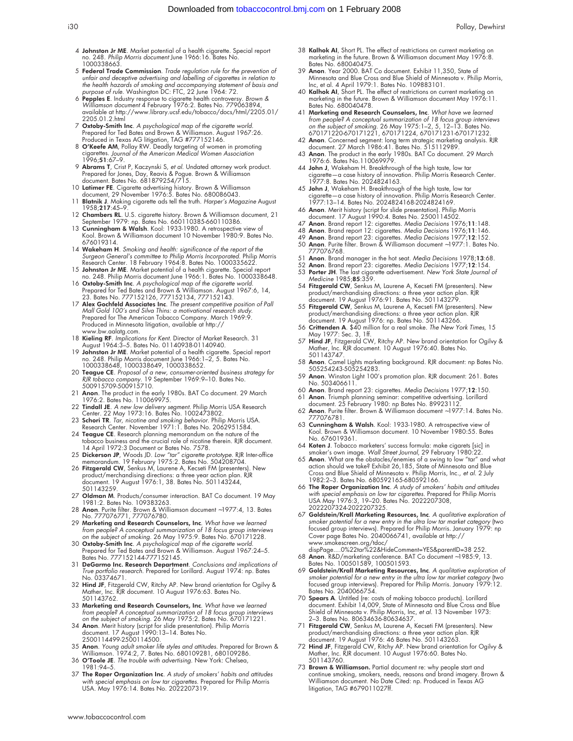- 4 Johnston Jr ME. Market potential of a health cigarette. Special report no. 248. Philip Morris document June 1966:16. Bates No. 1000338663.
- 5 **Federal Trade Commission**. Trade regulation rule for the prevention of unfair and deceptive advertising and labelling of cigarettes in relation to the health hazards of smoking and accompanying statement of basis and pu
- 6 Pepples E. Industry response to cigarette health controversy. Brown & Williamson document 4 February 1976:2. Bates No. 779063894, available at http://www.library.ucsf.edu/tobacco/docs/html/2205.01/ 2205.01.2.html
- 7 Oxtoby-Smith Inc. A psychological map of the cigarette world.<br>Prepared for Ted Bates and Brown & Williamson. August 1967:26.<br>Produced in Texas AG litigation, TAG #777152146.<br>8 O'Keefe AM, Pollay RW. Deadly targeting of w
- 1996;51:67–9.
- 9 Abrams T, Crist P, Kaczynski S, et al. Undated attorney work product. Prepared for Jones, Day, Reavis & Pogue. Brown & Williamson document. Bates No. 681879254/715.
- 10 Latimer FE. Cigarette advertising history. Brown & Williamson document, 29 November 1976:5. Bates No. 680086043.
- 11 Blatnik J. Making cigarette ads tell the truth. Harper's Magazine August
- 1958;217:45–9.
- 
- 12 Chambers RL. U.S. cigarette history. Brown & Williamson document, 21<br>September 1979: np. Bates No. 660110385-660110386.<br>13 Cunningham & Walsh. Kool: 1933-1980. A retrospective view of<br>Kool. Brown & Williamson document 1 676019314.
- 14 Wakeham H. Smoking and health: significance of the report of the Surgeon General's committee to Philip Morris Incorporated. Philip Morris<br>Research Center. 18 February 1964:8. Bates No. 1000335622.<br>15 Johnston Jr ME. Market potential of a health cigarette. Special report<br>no. 248. Philip
- 
- 16 Oxtoby-Smith Inc. A psychological map of the cigarette world.<br>
Prepared for Ted Bates and Brown & Williamson. August 1967:6, 14,<br>
23. Bates No. 777152126, 777152118, 777152143.<br>
17 Alex Gochfeld Associates Inc. The pres
- Prepared for The American Tobacco Company. March 1969:9. Produced in Minnesota litigation, available at http:// www.bw.aalatg.com. 18 Kieling RF. Implications for Kent. Director of Market Research. 31
- August 1964:3–5. Bates No. 01140938-01140940.
- 19 Johnston Jr ME. Market potential of a health cigarette. Special report no. 248. Philip Morris document June 1966:1–2, 5. Bates No. 1000338648, 1000338649, 1000338652.
- 20 Teague CE. Proposal of a new, consumer-oriented business strategy for RJR tobacco company. 19 September 1969:9–10. Bates No.<br>500915709-500915710.<br>21 **Anon**. The product in the early 1980s. BAT Co document. 29 March
- 1976:2. Bates No. 110069975.
- 22 Tindall JE. A new low delivery segment. Philip Morris USA Research
- Center. 22 May 1973:16. Bates No. 1002473802.<br>23 S**chori TR**. Tar, nicotine and smoking behavior. Philip Morris USA.<br>Research Center. November 1971:1. Bates No. 2062951584.
- 24 Teague CE. Research planning memorandum on the nature of the tobacco business and the crucial role of nicotine therein. RJR document.<br>14 April 1972:3 Document or Bates No. 7578.<br>25 Dickerson JP, Woods JD. Low "tar" cigarette prototype. RJR Inter-office<br>memorandum. 19 February 1975:2
- 
- 26 Fitzgerald CW, Senkus M, Laurene A, Kecseti FM (presenters). New product/merchandising directions: a three year action plan. RJR document. 19 August 1976:1, 38. Bates No. 501143244, 501143259.
- 27 Oldman M. Products/consumer interaction. BAT Co document. 19 May
- 1981:2. Bates No. 109383263. 28 Anon. Purite filter. Brown & Williamson document ∼1977:4, 13. Bates No. 777076771, 777076780.
- 29 **Marketing and Research Counselors, Inc**. What have we learned<br>from people? A conceptual summarization of 18 focus group interviews<br>on the subject of smoking. 26 May 1975:9: Bates No. 670171228.<br>30 **Oxtoby-Smith Inc**. A
- 
- Bates No. 777152144-777152145.<br>31 **DeGarmo Inc. Research Department**. Conclusions and implications of<br>*True portfolio research*. Prepared for Lorillard. August 1974: np. Bates No. 03374671.
- 32 Hind JF, Fitzgerald CW, Ritchy AP. New brand orientation for Ogilvy & Mather, Inc. RJR document. 10 August 1976:63. Bates No. 501143762.
- 33 Marketing and Research Counselors, Inc. What have we learned from people? A conceptual summarization of 18 focus group interviews
- on the subject of smoking. 26 May 1975:2. Bates No. 670171221. 34 Anon. Merit history (script for slide presentation). Philip Morris document. 17 August 1990:13–14. Bates No. 2500114499-2500114500.
- 35 Anon. Young adult smoker life styles and attitudes. Prepared for Brown & Williamson. 1974:2, 7. Bates No. 680109281, 680109286.
- 36 O'Toole JE. The trouble with advertising. New York: Chelsea, 1981:94–5.
- 37 The Roper Organization Inc. A study of smokers' habits and attitudes with special emphasis on low tar cigarettes. Prepared for Philip Morris USA. May 1976:14. Bates No. 2022207319.
- 38 Kalhok AI, Short PL. The effect of restrictions on current marketing on marketing in the future. Brown & Williamson document May 1976:8. Bates No. 680040475.
- 39 Anon. Year 2000. BAT Co document. Exhibit 11,350, State of<br>Minnesota and Blue Cross and Blue Shield of Minnesota v. Philip Morris,<br>Inc, et al. 4 April 1979:1. Bates No. 109883101.<br>40 Kalhok A1, Short PL. The effect of r
- marketing in the future. Brown & Williamson document May 1976:11. Bates No. 680040478.
- 41 **Marketing and Research Counselors, Inc**. What have we learned from people? A conceptual summarization of 18 focus group interviews on the subject of smoking. 26 May 1975:1–2, 5, 12–13. Bates No. 670171220-670171221, 6
- 42 Anon. Concerned segment: long term strategic marketing analysis. RJR document. 27 March 1986:41. Bates No. 515112989.
- 43 Anon. The product in the early 1980s. BAT Co document. 29 March 1976:6. Bates No.110069979.
- 44 John J, Wakeham H. Breakthrough of the high taste, low tar cigarette—a case history of innovation. Philip Morris Research Center. 1977:8. Bates No. 2024824163.
- 45 John J, Wakeham H. Breakthrough of the high taste, low tar cigarette—a case history of innovation. Philip Morris Research Center. 1977:13–14. Bates No. 2024824168-2024824169.
- 46 Anon. Merit history (script for slide presentation). Philip Morris document. 17 August 1990:4. Bates No. 2500114502.
- 
- 
- 47 **Anon**. Brand report 12: cigarettes. Media Decisions 1976;**11**:148.<br>48 **Anon**. Brand report 12: cigarettes. Media Decisions 1976;11:146.<br>49 **Anon**. Brand report 23: cigarettes. Media Decisions 1977;1**2**:152.<br>50 **Anon**.
- 
- 
- 
- 777076768.<br>51 **Anon**. Brand manager in the hot seat. Media Decisions 1978;1**3**:68.<br>52 **Anon**. Brand report 23: cigarettes. Media Decisions 1977;**12**:154.<br>53 **Porter JH**. The last cigarette advertisement. New York State Jou
- 54 Fitzgerald CW, Senkus M, Laurene A, Kecseti FM (presenters). New product/merchandising directions: a three year action plan. RJR<br>document. 19 August 1976:91. Bates No. 501143279.<br>55 **Fitzgerald CW**, Senkus M, Laurene A, Kecseti FM (presenters). New
- product/merchandising directions: a three year action plan. RJR document. 19 August 1976: np. Bates No. 501143266.
- 56 Crittenden A. \$40 million for a real smoke. The New York Times, 15 May 1977: Sec. 3, 1ff.
- 57 Hind JF, Fitzgerald CW, Ritchy AP. New brand orientation for Ogilvy & Mather, Inc. RJR document. 10 August 1976:40. Bates No. 501143747.
- 58 Anon. Camel Lights marketing background. RJR document: np Bates No. 505254243-505254283.
- 59 Anon. Winston Light 100's promotion plan. RJR document: 261. Bates No. 503406611.
- 60 Anon. Brand report 23: cigarettes. Media Decisions 1977;12:150.
- 61 Anon. Triumph planning seminar: competitive advertising. Lorillard document. 25 February 1980: np Bates No. 89923112. 62 Anon. Purite filter. Brown & Williamson document ∼1977:14. Bates No.
- 777076781. 63 Cunningham & Walsh. Kool: 1933-1980. A retrospective view of Kool. Brown & Williamson document. 10 November 1980:55. Bates
- No. 676019361. 64 Koten J. Tobacco marketers' success formula: make cigarets [sic] in smoker's own image. Wall Street Journal, 29 February 1980:22.
- 65 Anon. What are the obstacles/enemies of a swing to low "tar" and what action should we take? Exhibit 26,185, State of Minnesota and Blue Cross and Blue Shield of Minnesota v. Philip Morris, Inc., *et al*. 2 July<br>1982:2–3. Bates No. 680592165-680592166.<br>66 **The Roper Organization Inc**. *A study of smokers' habits and attitudes*
- with special emphasis on low tar cigarettes. Prepared for Philip Morris USA May 1976:3, 19–20. Bates No. 2022207308, 2022207324-2022207325.
- 67 Goldstein/Krall Marketing Resources, Inc. A qualitative exploration of smoker potential for <sup>a</sup> new entry in the ultra low tar market category (two focused group interviews). Prepared for Philip Morris. January 1979: np Cover page Bates No. 2040066741, available at http://
- www.smokescreen.org/tdoc/ dispPage....0%22tar%22&HideComment=YES&parentID=38 252. 68 Anon. R&D/marketing conference. BAT Co document ∼1985:9, 13. Bates No. 100501589, 100501593.
- 69 Goldstein/Krall Marketing Resources, Inc. A qualitative exploration of
- smoker potential for <sup>a</sup> new entry in the ultra low tar market category (two focused group interviews). Prepared for Philip Morris. January 1979:12. Bates No. 2040066754.
- 70 Spears A. Untitled (re: costs of making tobacco products). Lorillard document. Exhibit 14,009, State of Minnesota and Blue Cross and Blue Shield of Minnesota v. Philip Morris, Inc, et al. 13 November 1973:
- 2–3. Bates No. 80634636-80634637. 71 Fitzgerald CW, Senkus M, Laurene A, Kecseti FM (presenters). New product/merchandising directions: a three year action plan. RJR document. 19 August 1976: 46 Bates No. 501143263.
- 72 Hind JF, Fitzgerald CW, Ritchy AP. New brand orientation for Ogilvy & Mather, Inc. RJR document. 10 August 1976:60. Bates No. 501143760.
- 73 Brown & Williamson. Partial document re: why people start and continue smoking, smokers, needs, reasons and brand imagery. Brown & Williamson document. No Date Cited: np. Produced in Texas AG litigation, TAG #679011027ff.